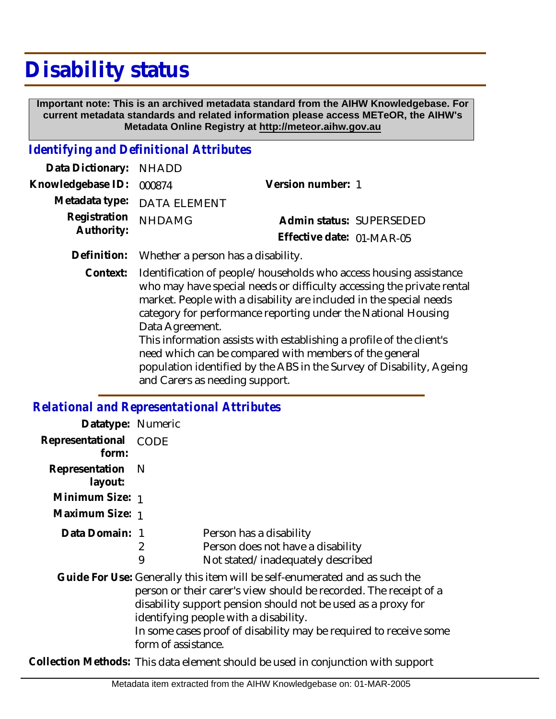## **Disability status**

 **Important note: This is an archived metadata standard from the AIHW Knowledgebase. For current metadata standards and related information please access METeOR, the AIHW's Metadata Online Registry at http://meteor.aihw.gov.au**

## *Identifying and Definitional Attributes*

| Data Dictionary: NHADD     |                                                |                           |                          |
|----------------------------|------------------------------------------------|---------------------------|--------------------------|
| Knowledgebase ID: 000874   |                                                | Version number: 1         |                          |
|                            | Metadata type: DATA ELEMENT                    |                           |                          |
| Registration<br>Authority: | <b>NHDAMG</b>                                  |                           | Admin status: SUPERSEDED |
|                            |                                                | Effective date: 01-MAR-05 |                          |
|                            | Definition: Whether a person has a disability. |                           |                          |

Context: Identification of people/households who access housing assistance who may have special needs or difficulty accessing the private rental market. People with a disability are included in the special needs category for performance reporting under the National Housing Data Agreement.

This information assists with establishing a profile of the client's need which can be compared with members of the general population identified by the ABS in the Survey of Disability, Ageing and Carers as needing support.

## *Relational and Representational Attributes*

| Datatype: Numeric              |                                                                                  |                                                                                                                                                                                                                                                                                                                               |
|--------------------------------|----------------------------------------------------------------------------------|-------------------------------------------------------------------------------------------------------------------------------------------------------------------------------------------------------------------------------------------------------------------------------------------------------------------------------|
| Representational CODE<br>form: |                                                                                  |                                                                                                                                                                                                                                                                                                                               |
| Representation N<br>layout:    |                                                                                  |                                                                                                                                                                                                                                                                                                                               |
| Minimum Size: 1                |                                                                                  |                                                                                                                                                                                                                                                                                                                               |
| Maximum Size: 1                |                                                                                  |                                                                                                                                                                                                                                                                                                                               |
| Data Domain: 1                 |                                                                                  | Person has a disability                                                                                                                                                                                                                                                                                                       |
|                                | 2                                                                                | Person does not have a disability                                                                                                                                                                                                                                                                                             |
|                                | 9                                                                                | Not stated/inadequately described                                                                                                                                                                                                                                                                                             |
|                                | form of assistance.                                                              | Guide For Use: Generally this item will be self-enumerated and as such the<br>person or their carer's view should be recorded. The receipt of a<br>disability support pension should not be used as a proxy for<br>identifying people with a disability.<br>In some cases proof of disability may be required to receive some |
|                                | Collection Methods: This data element should be used in conjunction with support |                                                                                                                                                                                                                                                                                                                               |